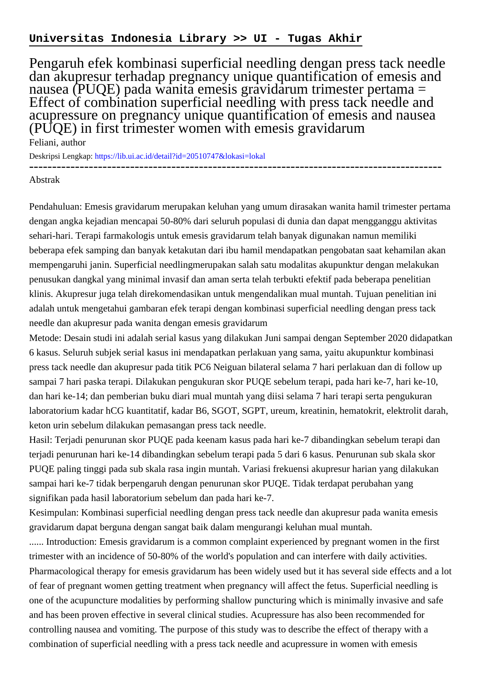## **Universitas Indonesia Library >> UI - Tugas Akhir**

Pengaruh efek kombinasi superficial needling dengan press tack needle dan akupresur terhadap pregnancy unique quantification of emesis and nausea (PUQE) pada wanita emesis gravidarum trimester pertama = Effect of combination superficial needling with press tack needle and acupressure on pregnancy unique quantification of emesis and nausea (PUQE) in first trimester women with emesis gravidarum

Feliani, author

Deskripsi Lengkap:<https://lib.ui.ac.id/detail?id=20510747&lokasi=lokal>

------------------------------------------------------------------------------------------

## Abstrak

Pendahuluan: Emesis gravidarum merupakan keluhan yang umum dirasakan wanita hamil trimester pertama dengan angka kejadian mencapai 50-80% dari seluruh populasi di dunia dan dapat mengganggu aktivitas sehari-hari. Terapi farmakologis untuk emesis gravidarum telah banyak digunakan namun memiliki beberapa efek samping dan banyak ketakutan dari ibu hamil mendapatkan pengobatan saat kehamilan akan mempengaruhi janin. Superficial needlingmerupakan salah satu modalitas akupunktur dengan melakukan penusukan dangkal yang minimal invasif dan aman serta telah terbukti efektif pada beberapa penelitian klinis. Akupresur juga telah direkomendasikan untuk mengendalikan mual muntah. Tujuan penelitian ini adalah untuk mengetahui gambaran efek terapi dengan kombinasi superficial needling dengan press tack needle dan akupresur pada wanita dengan emesis gravidarum

Metode: Desain studi ini adalah serial kasus yang dilakukan Juni sampai dengan September 2020 didapatkan 6 kasus. Seluruh subjek serial kasus ini mendapatkan perlakuan yang sama, yaitu akupunktur kombinasi press tack needle dan akupresur pada titik PC6 Neiguan bilateral selama 7 hari perlakuan dan di follow up sampai 7 hari paska terapi. Dilakukan pengukuran skor PUQE sebelum terapi, pada hari ke-7, hari ke-10, dan hari ke-14; dan pemberian buku diari mual muntah yang diisi selama 7 hari terapi serta pengukuran laboratorium kadar hCG kuantitatif, kadar B6, SGOT, SGPT, ureum, kreatinin, hematokrit, elektrolit darah, keton urin sebelum dilakukan pemasangan press tack needle.

Hasil: Terjadi penurunan skor PUQE pada keenam kasus pada hari ke-7 dibandingkan sebelum terapi dan terjadi penurunan hari ke-14 dibandingkan sebelum terapi pada 5 dari 6 kasus. Penurunan sub skala skor PUQE paling tinggi pada sub skala rasa ingin muntah. Variasi frekuensi akupresur harian yang dilakukan sampai hari ke-7 tidak berpengaruh dengan penurunan skor PUQE. Tidak terdapat perubahan yang signifikan pada hasil laboratorium sebelum dan pada hari ke-7.

Kesimpulan: Kombinasi superficial needling dengan press tack needle dan akupresur pada wanita emesis gravidarum dapat berguna dengan sangat baik dalam mengurangi keluhan mual muntah.

...... Introduction: Emesis gravidarum is a common complaint experienced by pregnant women in the first trimester with an incidence of 50-80% of the world's population and can interfere with daily activities. Pharmacological therapy for emesis gravidarum has been widely used but it has several side effects and a lot of fear of pregnant women getting treatment when pregnancy will affect the fetus. Superficial needling is one of the acupuncture modalities by performing shallow puncturing which is minimally invasive and safe and has been proven effective in several clinical studies. Acupressure has also been recommended for controlling nausea and vomiting. The purpose of this study was to describe the effect of therapy with a combination of superficial needling with a press tack needle and acupressure in women with emesis